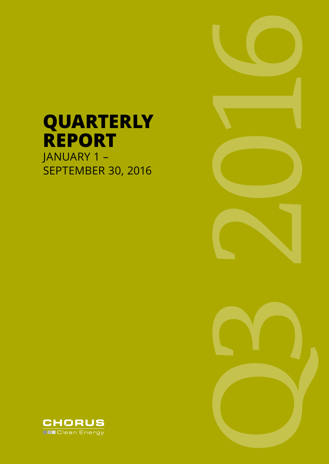# **QUARTERLY REPORT** JANUARY 1 –

SEPTEMBER 30, 2016





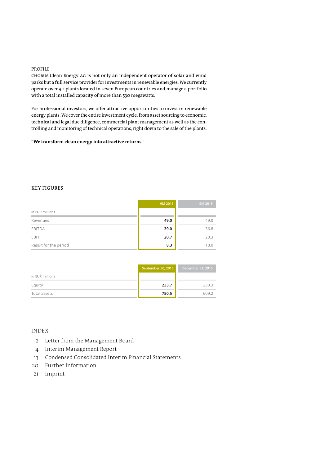#### PROFILE

CHORUS Clean Energy AG is not only an independent operator of solar and wind parks but a full service provider for investments in renewable energies. We currently operate over 90 plants located in seven European countries and manage a portfolio with a total installed capacity of more than 530 megawatts.

For professional investors, we offer attractive opportunities to invest in renewable energy plants. We cover the entire investment cycle: from asset sourcing to economic, technical and legal due diligence, commercial plant management as well as the controlling and monitoring of technical operations, right down to the sale of the plants.

#### "We transform clean energy into attractive returns"

#### KEY FIGURES

|                       | 9M 2016 | 9M 2015 |
|-----------------------|---------|---------|
| in EUR millions       |         |         |
| Revenues              | 49.0    | 49.0    |
| <b>EBITDA</b>         | 39.0    | 36.8    |
| EBIT                  | 20.7    | 20.3    |
| Result for the period | 8.3     | 10.0    |

|                 | September 30, 2016 | December 31, 2015 |
|-----------------|--------------------|-------------------|
| in EUR millions |                    |                   |
| Equity          | 233.7              | 230.3             |
| Total assets    | 750.5              | 609.2             |

#### INDEX

- 2 Letter from the Management Board
- 4 Interim Management Report
- 13 Condensed Consolidated Interim Financial Statements
- 20 Further Information
- 21 Imprint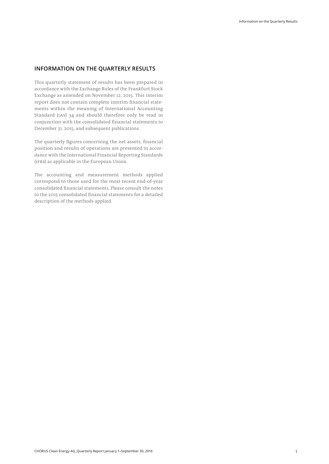#### **INFORMATION ON THE QUARTERLY RESULTS**

This quarterly statement of results has been prepared in accordance with the Exchange Rules of the Frankfurt Stock Exchange as amended on November 12, 2015. This interim report does not contain complete interim financial statements within the meaning of International Accounting Standard (IAS) 34 and should therefore only be read in conjunction with the consolidated financial statements to December 31, 2015, and subsequent publications.

The quarterly figures concerning the net assets, financial position and results of operations are presented in accordance with the International Financial Reporting Standards (IFRS) as applicable in the European Union.

The accounting and measurement methods applied correspond to those used for the most recent end-of-year consolidated financial statements. Please consult the notes to the 2015 consolidated financial statements for a detailed description of the methods applied.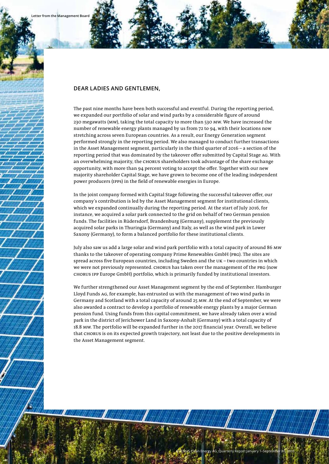#### **DEAR LADIES AND GENTLEMEN,**

The past nine months have been both successful and eventful. During the reporting period, we expanded our portfolio of solar and wind parks by a considerable figure of around 230 megawatts (MW), taking the total capacity to more than 530 MW. We have increased the number of renewable energy plants managed by us from 72 to 94, with their locations now stretching across seven European countries. As a result, our Energy Generation segment performed strongly in the reporting period. We also managed to conduct further transactions in the Asset Management segment, particularly in the third quarter of 2016 – a section of the reporting period that was dominated by the takeover offer submitted by Capital Stage AG. With an overwhelming majority, the CHORUS shareholders took advantage of the share exchange opportunity, with more than 94 percent voting to accept the offer. Together with our new majority shareholder Capital Stage, we have grown to become one of the leading independent power producers (IPPs) in the field of renewable energies in Europe.

In the joint company formed with Capital Stage following the successful takeover offer, our company's contribution is led by the Asset Management segment for institutional clients, which we expanded continually during the reporting period. At the start of July 2016, for instance, we acquired a solar park connected to the grid on behalf of two German pension funds. The facilities in Rüdersdorf, Brandenburg (Germany), supplement the previously acquired solar parks in Thuringia (Germany) and Italy, as well as the wind park in Lower Saxony (Germany), to form a balanced portfolio for these institutional clients.

July also saw us add a large solar and wind park portfolio with a total capacity of around 86 MW thanks to the takeover of operating company Prime Renewables GmbH (PRG). The sites are spread across five European countries, including Sweden and the UK – two countries in which we were not previously represented. CHORUS has taken over the management of the PRG (now CHORUS IPP Europe GmbH) portfolio, which is primarily funded by institutional investors.

We further strengthened our Asset Management segment by the end of September. Hamburger Lloyd Funds AG, for example, has entrusted us with the management of two wind parks in Germany and Scotland with a total capacity of around 25 MW. At the end of September, we were also awarded a contract to develop a portfolio of renewable energy plants by a major German pension fund. Using funds from this capital commitment, we have already taken over a wind park in the district of Jerichower Land in Saxony-Anhalt (Germany) with a total capacity of 18.8 MW. The portfolio will be expanded further in the 2017 financial year. Overall, we believe that CHORUS is on its expected growth trajectory, not least due to the positive developments in the Asset Management segment.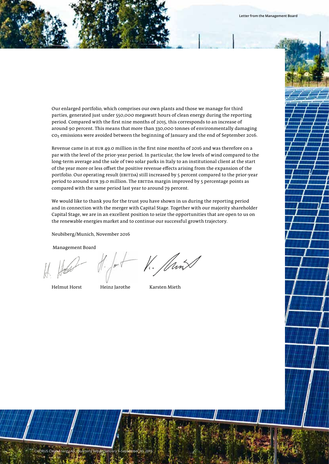Our enlarged portfolio, which comprises our own plants and those we manage for third parties, generated just under 550,000 megawatt hours of clean energy during the reporting period. Compared with the first nine months of 2015, this corresponds to an increase of around 90 percent. This means that more than 330,000 tonnes of environmentally damaging CO2 emissions were avoided between the beginning of January and the end of September 2016.

Revenue came in at EUR 49.0 million in the first nine months of 2016 and was therefore on a par with the level of the prior-year period. In particular, the low levels of wind compared to the long-term average and the sale of two solar parks in Italy to an institutional client at the start of the year more or less offset the positive revenue effects arising from the expansion of the portfolio. Our operating result (EBITDA) still increased by 5 percent compared to the prior-year period to around EUR 39.0 million. The EBITDA margin improved by 5 percentage points as compared with the same period last year to around 79 percent.

We would like to thank you for the trust you have shown in us during the reporting period and in connection with the merger with Capital Stage. Together with our majority shareholder Capital Stage, we are in an excellent position to seize the opportunities that are open to us on the renewable energies market and to continue our successful growth trajectory.

Neubiberg/Munich, November 2016

Management Board

 $-$  1. JanX

Helmut Horst Heinz Jarothe Karsten Mieth

CHORUS Clean Energy AG\_Quarterly Report January 1–September 30, 2016 3

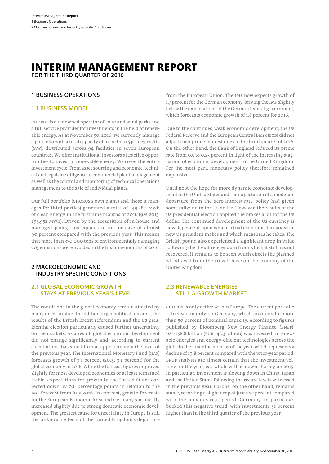# **INTERIM MANAGEMENT REPORT**

**FOR THE THIRD QUARTER OF 2016**

#### **1 BUSINESS OPERATIONS**

#### **1.1 BUSINESS MODEL**

CHORUS is a renowned operator of solar and wind parks and a full service provider for investments in the field of renewable energy. As at November 30, 2016, we currently manage a portfolio with a total capacity of more than 530 megawatts (MW), distributed across 94 facilities in seven European countries. We offer institutional investors attractive opportunities to invest in renewable energy. We cover the entire investment cycle: From asset sourcing and economic, technical and legal due diligence to commercial plant management as well as the control and monitoring of technical operations management to the sale of individual plants.

Our full portfolio (CHORUS's own plants and those it manages for third parties) generated a total of 549,380 MWh of clean energy in the first nine months of 2016 (9M 2015: 293,952 MWh). Driven by the acquisition of in-house and managed parks, this equates to an increase of almost 90 percent compared with the previous year. This means that more than 330,000 tons of environmentally damaging CO2 emissions were avoided in the first nine months of 2016.

#### **2 MACROECONOMIC AND INDUSTRY-SPECIFIC CONDITIONS**

#### **2.1 GLOBAL ECONOMIC GROWTH STAYS AT PREVIOUS YEAR'S LEVEL**

The conditions in the global economy remain affected by many uncertainties. In addition to geopolitical tensions, the results of the British Brexit referendum and the US presidential election particularly caused further uncertainty on the markets. As a result, global economic development did not change significantly and, according to current calculations, has stood firm at approximately the level of the previous year. The International Monetary Fund (IMF) forecasts growth of 3.1 percent (2015: 3.1 percent) for the global economy in 2016. While the forecast figures improved slightly for most developed economies or at least remained stable, expectations for growth in the United States corrected down by 0.6 percentage points in relation to the IMF forecast from July 2016. In contrast, growth forecasts for the European Economic Area and Germany specifically increased slightly due to strong domestic economic development. The greatest cause for uncertainty in Europe is still the unknown effects of the United Kingdom's departure

from the European Union. The IMF now expects growth of 1.7 percent for the German economy, leaving the IMF slightly below the expectations of the German federal government, which forecasts economic growth of 1.8 percent for 2016.

Due to the continued weak economic development, the US Federal Reserve and the European Central Bank (ECB) did not adjust their prime interest rates in the third quarter of 2016. On the other hand, the Bank of England reduced its prime rate from 0.5 to 0.25 percent in light of the increasing stagnation of economic development in the United Kingdom. For the most part, monetary policy therefore remained expansive.

Until now, the hope for more dynamic economic development in the United States and the expectation of a moderate departure from the zero-interest-rate policy had given some tailwind to the US dollar. However, the results of the US presidential election applied the brakes a bit for the US dollar. The continued development of the US currency is now dependent upon which actual economic decisions the new US president makes and which measures he takes. The British pound also experienced a significant drop in value following the Brexit referendum from which it still has not recovered. It remains to be seen which effects the planned withdrawal from the EU will have on the economy of the United Kingdom.

#### **2.3 RENEWABLE ENERGIES STILL A GROWTH MARKET**

CHORUS is only active within Europe. The current portfolio is focused mainly on Germany, which accounts for more than 50 percent of nominal capacity. According to figures published by Bloomberg New Energy Finance (BNEF), USD 158.8 billion (EUR 142.3 billion) was invested in renewable energies and energy-efficient technologies across the globe in the first nine months of the year, which represents a decline of 19.8 percent compared with the prior-year period. BNEF analysts are almost certain that the investment volume for the year as a whole will be down sharply on 2015. In particular, investment is slowing down in China, Japan and the United States following the record levels witnessed in the previous year. Europe, on the other hand, remains stable, recording a slight drop of just five percent compared with the previous-year period. Germany, in particular, bucked this negative trend, with investments 31 percent higher than in the third quarter of the previous year.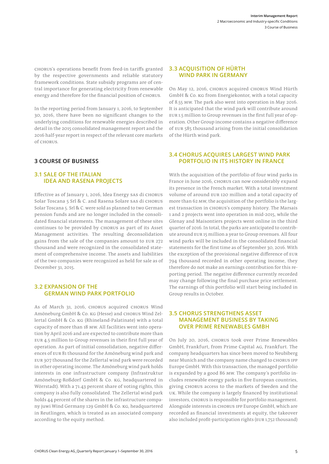CHORUS's operations benefit from feed-in tariffs granted by the respective governments and reliable statutory framework conditions. State subsidy programs are of central importance for generating electricity from renewable energy and therefore for the financial position of CHORUS.

In the reporting period from January 1, 2016, to September 30, 2016, there have been no significant changes to the underlying conditions for renewable energies described in detail in the 2015 consolidated management report and the 2016 half-year report in respect of the relevant core markets of CHORUS.

#### **3 COURSE OF BUSINESS**

#### **3.1 SALE OF THE ITALIAN IDEA AND RASENA PROJECTS**

Effective as of January 1, 2016, Idea Energy SAS di Chorus Solar Toscana 5 Srl & C. and Rasena Solare SAS di Chorus Solar Toscana 5. Srl & C. were sold as planned to two German pension funds and are no longer included in the consolidated financial statements. The management of these sites continues to be provided by CHORUS as part of its Asset Management activities. The resulting deconsolidation gains from the sale of the companies amount to EUR 272 thousand and were recognized in the consolidated statement of comprehensive income. The assets and liabilities of the two companies were recognized as held for sale as of December 31, 2015.

#### **3.2 EXPANSION OF THE GERMAN WIND PARK PORTFOLIO**

As of March 31, 2016, CHORUS acquired CHORUS Wind Amöneburg GmbH & Co. KG (Hesse) and CHORUS Wind Zellertal GmbH & Co. KG (Rhineland-Palatinate) with a total capacity of more than 18 MW. All facilities went into operation by April 2016 and are expected to contribute more than EUR 4.5 million to Group revenues in their first full year of operation. As part of initial consolidation, negative differences of EUR 81 thousand for the Amöneburg wind park and EUR 307 thousand for the Zellertal wind park were recorded in other operating income. The Amöneburg wind park holds interests in one infrastructure company (Infrastruktur Amöneburg-Roßdorf GmbH & Co. KG, headquartered in Wörrstadt). With a 71.43 percent share of voting rights, this company is also fully consolidated. The Zellertal wind park holds 44 percent of the shares in the infrastructure company juwi Wind Germany 129 GmbH & Co. KG, headquartered in Reutlingen, which is treated as an associated company according to the equity method.

#### **3.3 ACQUISITION OF HÜRTH WIND PARK IN GERMANY**

On May 12, 2016, CHORUS acquired CHORUS Wind Hürth GmbH & Co. KG from Energiekontor, with a total capacity of 8.55 MW. The park also went into operation in May 2016. It is anticipated that the wind park will contribute around EUR 1.5 million to Group revenues in the first full year of operation. Other Group income contains a negative difference of EUR 585 thousand arising from the initial consolidation of the Hürth wind park.

#### **3.4 CHORUS ACQUIRES LARGEST WIND PARK PORTFOLIO IN ITS HISTORY IN FRANCE**

With the acquisition of the portfolio of four wind parks in France in June 2016, CHORUS can now considerably expand its presence in the French market. With a total investment volume of around EUR 120 million and a total capacity of more than 62 MW, the acquisition of the portfolio is the largest transaction in CHORUS's company history. The Marsais 1 and 2 projects went into operation in mid-2015, while the Glenay and Maisontiers projects went online in the third quarter of 2016. In total, the parks are anticipated to contribute around EUR 15 million a year to Group revenues. All four wind parks will be included in the consolidated financial statements for the first time as of September 30, 2016. With the exception of the provisional negative difference of EUR 794 thousand recorded in other operating income, they therefore do not make an earnings contribution for this reporting period. The negative difference currently recorded may change following the final purchase price settlement. The earnings of this portfolio will start being included in Group results in October.

#### **3.5 CHORUS STRENGTHENS ASSET MANAGEMENT BUSINESS BY TAKING OVER PRIME RENEWABLES GMBH**

On July 20, 2016, CHORUS took over Prime Renewables GmbH, Frankfurt, from Prime Capital AG, Frankfurt. The company headquarters has since been moved to Neubiberg near Munich and the company name changed to CHORUS IPP Europe GmbH. With this transaction, the managed portfolio is expanded by a good 86 MW. The company's portfolio includes renewable energy parks in five European countries, giving CHORUS access to the markets of Sweden and the UK. While the company is largely financed by institutional investors, CHORUS is responsible for portfolio management. Alongside interests in CHORUS IPP Europe GmbH, which are recorded as financial investments at equity, the takeover also included profit-participation rights (EUR 1,752 thousand)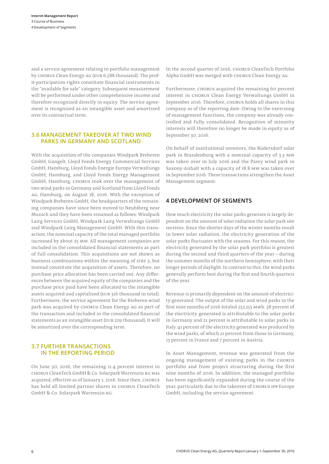and a service agreement relating to portfolio management by CHORUS Clean Energy AG (EUR 6,588 thousand). The profit-participation rights constitute financial instruments in the "available for sale" category. Subsequent measurement will be performed under other comprehensive income and therefore recognized directly in equity. The service agreement is recognized as an intangible asset and amortized over its contractual term.

#### **3.6 MANAGEMENT TAKEOVER AT TWO WIND PARKS IN GERMANY AND SCOTLAND**

With the acquisition of the companies Windpark Breberen GmbH, Gangelt, Lloyd Fonds Energy Commercial Services GmbH, Hamburg, Lloyd Fonds Energie Europa Verwaltungs GmbH, Hamburg, and Lloyd Fonds Energy Management GmbH, Hamburg, CHORUS took over the management of two wind parks in Germany and Scotland from Lloyd Fonds AG, Hamburg, on August 18, 2016. With the exception of Windpark Breberen GmbH, the headquarters of the remaining companies have since been moved to Neubiberg near Munich and they have been renamed as follows: Windpark Lairg Services GmbH, Windpark Lairg Verwaltungs GmbH and Windpark Lairg Management GmbH. With this transaction, the nominal capacity of the total managed portfolio increased by about 25 MW. All management companies are included in the consolidated financial statements as part of full consolidation. This acquisitions are not shown as business combinations within the meaning of IFRS 3, but instead constitute the acquisition of assets. Therefore, no purchase price allocation has been carried out. Any differences between the acquired equity of the companies and the purchase price paid have been allocated to the intangible assets acquired and capitalized (EUR 316 thousand in total). Furthermore, the service agreement for the Breberen wind park was acquired by CHORUS Clean Energy AG as part of the transaction and included in the consolidated financial statements as an intangible asset (EUR 229 thousand). It will be amortized over the corresponding term.

#### **3.7 FURTHER TRANSACTIONS IN THE REPORTING PERIOD**

On June 30, 2016, the remaining 11.4 percent interest in CHORUS CleanTech GmbH & Co. Solarpark Warrenzin KG was acquired, effective as of January 1, 2016. Since then, CHORUS has held all limited partner shares in CHORUS CleanTech GmbH & Co. Solarpark Warrenzin KG.

In the second quarter of 2016, CHORUS CleanTech Portfolio Alpha GmbH was merged with CHORUS Clean Energy AG.

Furthermore, CHORUS acquired the remaining 60 percent interest in CHORUS Clean Energy Verwaltungs GmbH in September 2016. Therefore, CHORUS holds all shares in this company as of the reporting date. Owing to the exercising of management functions, the company was already controlled and fully consolidated. Recognition of minority interests will therefore no longer be made in equity as of September 30, 2016.

On behalf of institutional investors, the Rüdersdorf solar park in Brandenburg with a nominal capacity of 3.3 MW was taken over in July 2016 and the Parey wind park in Saxony-Anhalt with a capacity of 18.8 MW was taken over in September 2016. These transactions strengthen the Asset Management segment.

#### **4 DEVELOPMENT OF SEGMENTS**

How much electricity the solar parks generate is largely dependent on the amount of solar radiation the solar park site receives. Since the shorter days of the winter months result in lower solar radiation, the electricity generation of the solar parks fluctuates with the seasons. For this reason, the electricity generated by the solar park portfolio is greatest during the second and third quarters of the year – during the summer months of the northern hemisphere, with their longer periods of daylight. In contrast to this, the wind parks generally perform best during the first and fourth quarters of the year.

Revenue is primarily dependent on the amount of electricity generated. The output of the solar and wind parks in the first nine months of 2016 totaled 252,155 MWh. 38 percent of the electricity generated is attributable to the solar parks in Germany and 21 percent is attributable to solar parks in Italy. 41 percent of the electricity generated was produced by the wind parks, of which 21 percent from those in Germany, 13 percent in France and 7 percent in Austria.

In Asset Management, revenue was generated from the ongoing management of existing parks in the CHORUS portfolio and from project structuring during the first nine months of 2016. In addition, the managed portfolio has been significantly expanded during the course of the year, particularly due to the takeover of CHORUS IPP Europe GmbH, including the service agreement.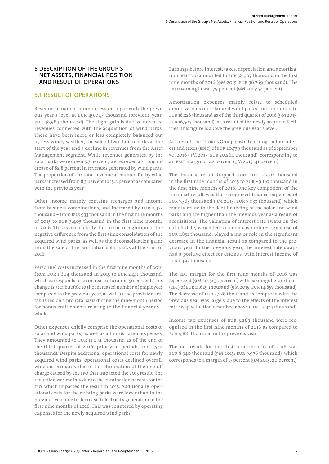#### **5 DESCRIPTION OF THE GROUP'S NET ASSETS, FINANCIAL POSITION AND RESULT OF OPERATIONS**

# **5.1 RESULT OF OPERATIONS**

Revenue remained more or less on a par with the previous year's level at EUR 49,047 thousand (previous year: EUR 48,984 thousand). The slight gain is due to increased revenues connected with the acquisition of wind parks. These have been more or less completely balanced out by less windy weather, the sale of two Italian parks at the start of the year and a decline in revenues from the Asset Management segment. While revenues generated by the solar parks were down 5.7 percent, we recorded a strong increase of 82.8 percent in revenues generated by wind parks. The proportion of our total revenue accounted for by wind parks increased from 8.3 percent to 15.2 percent as compared with the previous year.

Other income mainly contains recharges and income from business combinations, and increased by EUR 2,472 thousand – from EUR 933 thousand in the first nine months of 2015 to EUR 3,405 thousand in the first nine months of 2016. This is particularly due to the recognition of the negative difference from the first-time consolidation of the acquired wind parks, as well as the deconsolidation gains from the sale of the two Italian solar parks at the start of 2016.

Personnel costs increased in the first nine months of 2016 from EUR 1,604 thousand in 2015 to EUR 2,411 thousand, which corresponds to an increase of around 50 percent. This change is attributable to the increased number of employees compared to the previous year, as well as the provisions established on a pro rata basis during the nine-month period for bonus entitlements relating to the financial year as a whole.

Other expenses chiefly comprise the operational costs of solar and wind parks, as well as administration expenses. They amounted to EUR 11,074 thousand as of the end of the third quarter of 2016 (prior-year period: EUR 11,544 thousand). Despite additional operational costs for newly acquired wind parks, operational costs declined overall, which is primarily due to the elimination of the one-off charge caused by the IPO that impacted the 2015 result. The reduction was mainly due to the elimination of costs for the IPO, which impacted the result in 2015. Additionally, operational costs for the existing parks were lower than in the previous year due to decreased electricity generation in the first nine months of 2016. This was countered by operating expenses for the newly acquired wind parks.

Earnings before interest, taxes, depreciation and amortization (EBITDA) amounted to EUR 38,967 thousand in the first nine months of 2016 (9M 2015: EUR 36,769 thousand). The EBITDA margin was 79 percent (9M 2015: 74 percent).

Amortization expenses mainly relate to scheduled amortizations on solar and wind parks and amounted to EUR 18,228 thousand as of the third quarter of 2016 (9M 2015: EUR 16,505 thousand). As a result of the newly acquired facilities, this figure is above the previous year's level.

As a result, the CHORUS Group posted earnings before interest and taxes (EBIT) of EUR 20,739 thousand as of September 30, 2016 (9M 2015: EUR 20,264 thousand), corresponding to an EBIT margin of 42 percent (9M 2015: 41 percent).

The financial result dropped from EUR –5,407 thousand in the first nine months of 2015 to EUR –9,110 thousand in the first nine months of 2016. One key component of the financial result was the recognized finance expenses of EUR 7,565 thousand (9M 2015: EUR 7,033 thousand), which mainly relate to the debt financing of the solar and wind parks and are higher than the previous year as a result of acquisitions. The valuation of interest rate swaps on the cut-off date, which led to a non-cash interest expense of EUR 1,831 thousand, played a major role in the significant decrease in the financial result as compared to the previous year. In the previous year, the interest rate swaps had a positive effect for CHORUS, with interest income of EUR 1,493 thousand.

The EBT margin for the first nine months of 2016 was 24 percent (9M 2015: 30 percent) with earnings before taxes (EBT) of EUR 11,629 thousand (9M 2015: EUR 14,857 thousand). The decrease of EUR 3,228 thousand as compared with the previous year was largely due to the effects of the interest rate swap valuation described above (EUR –3,324 thousand).

Income tax expenses of EUR 3,289 thousand were recognized in the first nine months of 2016 as compared to EUR 4,881 thousand in the previous year.

The net result for the first nine months of 2016 was EUR 8,340 thousand (9M 2015: EUR 9,976 thousand), which corresponds to a margin of 17 percent (9M 2015: 20 percent).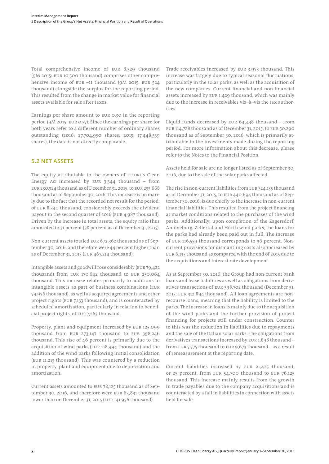Total comprehensive income of EUR 8,329 thousand (9M 2015: EUR 10,500 thousand) comprises other comprehensive income of EUR –11 thousand (9M 2015: EUR 524 thousand) alongside the surplus for the reporting period. This resulted from the change in market value for financial assets available for sale after taxes.

Earnings per share amount to EUR 0.30 in the reporting period (9M 2015: EUR 0.57). Since the earnings per share for both years refer to a different number of ordinary shares outstanding (2016: 27,704,950 shares; 2015: 17,448,539 shares), the data is not directly comparable.

# **5.2 NET ASSETS**

The equity attributable to the owners of CHORUS Clean Energy AG increased by EUR 3,344 thousand – from EUR 230,324 thousand as of December 31, 2015, to EUR 233,668 thousand as of September 30, 2016. This increase is primarily due to the fact that the recorded net result for the period, of EUR 8,340 thousand, considerably exceeds the dividend payout in the second quarter of 2016 (EUR 4,987 thousand). Driven by the increase in total assets, the equity ratio thus amounted to 31 percent (38 percent as of December 31, 2015).

Non-current assets totaled EUR 672,362 thousand as of September 30, 2016, and therefore were 44 percent higher than as of December 31, 2015 (EUR 467,214 thousand).

Intangible assets and goodwill rose considerably (EUR 79,422 thousand) from EUR 170,642 thousand to EUR 250,064 thousand. This increase relates primarily to additions to intangible assets as part of business combinations (EUR 79,976 thousand), as well as acquired agreements and other project rights (EUR 7,133 thousand), and is counteracted by scheduled amortization, particularly in relation to beneficial project rights, of EUR 7,263 thousand.

Property, plant and equipment increased by EUR 125,099 thousand from EUR 273,147 thousand to EUR 398,246 thousand. This rise of 46 percent is primarily due to the acquisition of wind parks (EUR 118,994 thousand) and the addition of the wind parks following initial consolidation (EUR 11,213 thousand). This was countered by a reduction in property, plant and equipment due to depreciation and amortization.

Current assets amounted to EUR 78,125 thousand as of September 30, 2016, and therefore were EUR 63,831 thousand lower than on December 31, 2015 (EUR 141,956 thousand).

Trade receivables increased by EUR 3,973 thousand. This increase was largely due to typical seasonal fluctuations, particularly in the solar parks, as well as the acquisition of the new companies. Current financial and non-financial assets increased by EUR 1,429 thousand, which was mainly due to the increase in receivables vis–à–vis the tax authorities.

Liquid funds decreased by EUR 64,438 thousand – from EUR 114,728 thousand as of December 31, 2015, to EUR 50,290 thousand as of September 30, 2016, which is primarily attributable to the investments made during the reporting period. For more information about this decrease, please refer to the Notes to the Financial Position.

Assets held for sale are no longer listed as of September 30, 2016, due to the sale of the solar parks affected.

The rise in non-current liabilities from EUR 324,135 thousand as of December 31, 2015, to EUR 440,694 thousand as of September 30, 2016, is due chiefly to the increase in non-current financial liabilities. This resulted from the project financing at market conditions related to the purchases of the wind parks. Additionally, upon completion of the Zagersdorf, Amöneburg, Zellertal and Hürth wind parks, the loans for the parks had already been paid out in full. The increase of EUR 116,559 thousand corresponds to 36 percent. Noncurrent provisions for dismantling costs also increased by EUR 6,135 thousand as compared with the end of 2015 due to the acquisitions and interest rate development.

As at September 30, 2016, the Group had non-current bank loans and lease liabilities as well as obligations from derivatives transactions of EUR 398,702 thousand (December 31, 2015: EUR 312,894 thousand). All loan agreements are nonrecourse loans, meaning that the liability is limited to the parks. The increase in loans is mainly due to the acquisition of the wind parks and the further provision of project financing for projects still under construction. Counter to this was the reduction in liabilities due to repayments and the sale of the Italian solar parks. The obligations from derivatives transactions increased by EUR 1,898 thousand – from EUR 7,775 thousand to EUR 9,673 thousand – as a result of remeasurement at the reporting date.

Current liabilities increased by EUR 21,425 thousand, or 25 percent, from EUR 54,700 thousand to EUR 76,125 thousand. This increase mainly results from the growth in trade payables due to the company acquisitions and is counteracted by a fall in liabilities in connection with assets held for sale.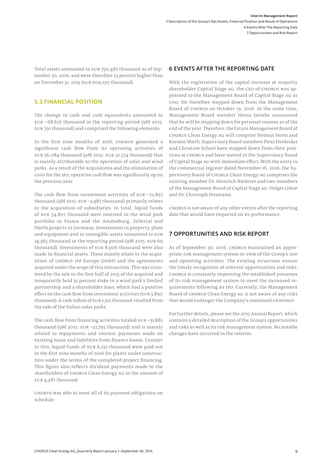Total assets amounted to EUR 750,487 thousand as of September 30, 2016, and were therefore 23 percent higher than on December 31, 2015 (EUR 609,170 thousand).

# **5.3 FINANCIAL POSITION**

The change in cash and cash equivalents amounted to EUR –68,627 thousand in the reporting period (9M 2015: EUR 791 thousand) and comprised the following elements:

In the first nine months of 2016, CHORUS generated a significant cash flow from its operating activities of EUR 36,084 thousand (9M 2015: EUR 32,574 thousand) that is mainly attributable to the operation of solar and wind parks. As a result of the acquisitions and the elimination of costs for the IPO, operative cash flow was significantly up on the previous year.

The cash flow from investment activities of EUR  $-72,827$ thousand (9M 2015: EUR –3,987 thousand) primarily relates to the acquisition of subsidiaries. In total, liquid funds of EUR 54,801 thousand were invested in the wind park portfolio in France and the Amöneburg, Zellertal and Hürth projects in Germany. Investments in property, plant and equipment and in intangible assets amounted to EUR 14,365 thousand in the reporting period (9M 2015: EUR 69 thousand). Investments of EUR 8,906 thousand were also made in financial assets. These mainly relate to the acquisition of CHORUS IPP Europe GmbH and the agreements acquired under the scope of this transaction. This was countered by the sale in the first half of 2015 of the acquired and temporarily held 35 percent stake in a wind park's limited partnership and a shareholder loan, which had a positive effect on the cash flow from investment activities (EUR 3,890 thousand). A cash inflow of EUR 1,312 thousand resulted from the sale of the Italian solar parks.

The cash flow from financing activities totaled  $EUR - 31,885$ thousand (9M 2015: EUR –27,795 thousand) and is mainly related to repayments and interest payments made on existing loans and liabilities from finance leases. Counter to this, liquid funds of EUR 6,231 thousand were paid out in the first nine months of 2016 for plants under construction under the terms of the completed project financing. This figure also reflects dividend payments made to the shareholders of CHORUS Clean Energy AG in the amount of EUR 4,987 thousand.

CHORUS was able to meet all of its payment obligations on schedule.

#### **6 EVENTS AFTER THE REPORTING DATE**

With the registration of the capital increase at majority shareholder Capital Stage AG, the CEO of CHORUS was appointed to the Management Board of Capital Stage AG as COO. He therefore stepped down from the Management Board of CHORUS on October 19, 2016. At the same time, Management Board member Heinz Jarothe announced that he will be stepping down for personal reasons as of the end of the year. Therefore, the future Management Board of CHORUS Clean Energy AG will comprise Helmut Horst and Karsten Mieth. Supervisory Board members Peter Heidecker and Christine Scheel have stepped down from their positions at CHORUS and have moved to the Supervisory Board of Capital Stage AG with immediate effect. With the entry in the commercial register dated November 16, 2016, the Supervisory Board of CHORUS Clean Energy AG comprises the existing member Dr. Heinrich Riederer and two members of the Management Board of Capital Stage AG: Holger Götze and Dr. Christoph Husmann.

CHORUS is not aware of any other events after the reporting date that would have impacted on its performance.

#### **7 OPPORTUNITIES AND RISK REPORT**

As of September 30, 2016, CHORUS maintained an appropriate risk management system in view of the Group's size and operating activities. The existing structures ensure the timely recognition of relevant opportunities and risks. CHORUS is constantly improving the established processes of its risk management system to meet the increased requirements following its IPO. Currently, the Management Board of CHORUS Clean Energy AG is not aware of any risks that would endanger the Company's continued existence.

For further details, please see the 2015 Annual Report, which contains a detailed description of the Group's opportunities and risks as well as its risk management system. No notable changes have occurred in the interim.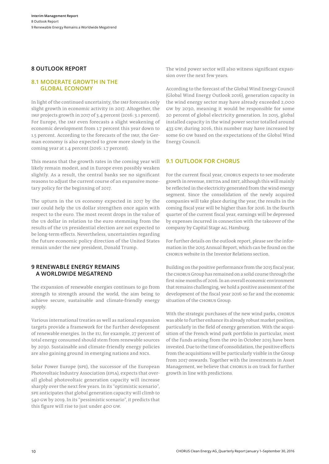#### **8 OUTLOOK REPORT**

#### **8.1 MODERATE GROWTH IN THE GLOBAL ECONOMY**

In light of the continued uncertainty, the IMF forecasts only slight growth in economic activity in 2017. Altogether, the IMF projects growth in 2017 of 3.4 percent (2016: 3.1 percent). For Europe, the IMF even forecasts a slight weakening of economic development from 1.7 percent this year down to 1.5 percent. According to the forecasts of the IMF, the German economy is also expected to grow more slowly in the coming year at 1.4 percent (2016: 1.7 percent).

This means that the growth rates in the coming year will likely remain modest, and in Europe even possibly weaken slightly. As a result, the central banks see no significant reasons to adjust the current course of an expansive monetary policy for the beginning of 2017.

The upturn in the US economy expected in 2017 by the IMF could help the US dollar strengthen once again with respect to the euro. The most recent drops in the value of the US dollar in relation to the euro stemming from the results of the US presidential election are not expected to be long-term effects. Nevertheless, uncertainties regarding the future economic policy direction of the United States remain under the new president, Donald Trump.

#### **9 RENEWABLE ENERGY REMAINS A WORLDWIDE MEGATREND**

The expansion of renewable energies continues to go from strength to strength around the world, the aim being to achieve secure, sustainable and climate-friendly energy supply.

Various international treaties as well as national expansion targets provide a framework for the further development of renewable energies. In the EU, for example, 27 percent of total energy consumed should stem from renewable sources by 2030. Sustainable and climate-friendly energy policies are also gaining ground in emerging nations and NICs.

Solar Power Europe (SPE), the successor of the European Photovoltaic Industry Association (EPIA), expects that overall global photovoltaic generation capacity will increase sharply over the next few years. In its "optimistic scenario", SPE anticipates that global generation capacity will climb to 540 GW by 2019. In its "pessimistic scenario", it predicts that this figure will rise to just under 400 GW.

The wind power sector will also witness significant expansion over the next few years.

According to the forecast of the Global Wind Energy Council (Global Wind Energy Outlook 2016), generation capacity in the wind energy sector may have already exceeded 2,000 GW by 2030, meaning it would be responsible for some 20 percent of global electricity generation. In 2015, global installed capacity in the wind power sector totalled around 433 GW; during 2016, this number may have increased by some 60 GW based on the expectations of the Global Wind Energy Council.

#### **9.1 OUTLOOK FOR CHORUS**

For the current fiscal year, CHORUS expects to see moderate growth in revenue, EBITDA and EBIT, although this will mainly be reflected in the electricity generated from the wind energy segment. Since the consolidation of the newly acquired companies will take place during the year, the results in the coming fiscal year will be higher than for 2016. In the fourth quarter of the current fiscal year, earnings will be depressed by expenses incurred in connection with the takeover of the company by Capital Stage AG, Hamburg.

For further details on the outlook report, please see the information in the 2015 Annual Report, which can be found on the CHORUS website in the Investor Relations section.

Building on the positive performance from the 2015 fiscal year, the CHORUS Group has remained on a solid course through the first nine months of 2016. In an overall economic environment that remains challenging, we hold a positive assessment of the development of the fiscal year 2016 so far and the economic situation of the CHORUS Group.

With the strategic purchases of the new wind parks, CHORUS was able to further enhance its already robust market position, particularly in the field of energy generation. With the acquisition of the French wind park portfolio in particular, most of the funds arising from the IPO in October 2015 have been invested. Due to the time of consolidation, the positive effects from the acquisitions will be particularly visible in the Group from 2017 onwards. Together with the investments in Asset Management, we believe that CHORUS is on track for further growth in line with predictions.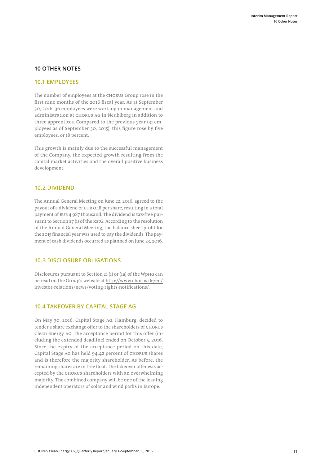#### **10 OTHER NOTES**

#### **10.1 EMPLOYEES**

The number of employees at the CHORUS Group rose in the first nine months of the 2016 fiscal year. As at September 30, 2016, 36 employees were working in management and administration at CHORUS AG in Neubiberg in addition to three apprentices. Compared to the previous year (31 employees as of September 30, 2015), this figure rose by five employees, or 18 percent.

This growth is mainly due to the successful management of the Company, the expected growth resulting from the capital market activities and the overall positive business development.

#### **10.2 DIVIDEND**

The Annual General Meeting on June 22, 2016, agreed to the payout of a dividend of EUR 0.18 per share, resulting in a total payment of EUR 4,987 thousand. The dividend is tax-free pursuant to Section 27 (1) of the KStG. According to the resolution of the Annual General Meeting, the balance sheet profit for the 2015 financial year was used to pay the dividends. The payment of cash dividends occurred as planned on June 23, 2016.

#### **10.3 DISCLOSURE OBLIGATIONS**

Disclosures pursuant to Section 21 (1) or (1a) of the WpHG can be read on the Group's website at http://www.chorus.de/en/ investor-relations/news/voting-rights-notifications/.

# **10.4 TAKEOVER BY CAPITAL STAGE AG**

On May 30, 2016, Capital Stage AG, Hamburg, decided to tender a share exchange offer to the shareholders of CHORUS Clean Energy AG. The acceptance period for this offer (including the extended deadline) ended on October 5, 2016. Since the expiry of the acceptance period on this date, Capital Stage AG has held 94.42 percent of CHORUS shares and is therefore the majority shareholder. As before, the remaining shares are in free float. The takeover offer was accepted by the CHORUS shareholders with an overwhelming majority. The combined company will be one of the leading independent operators of solar and wind parks in Europe.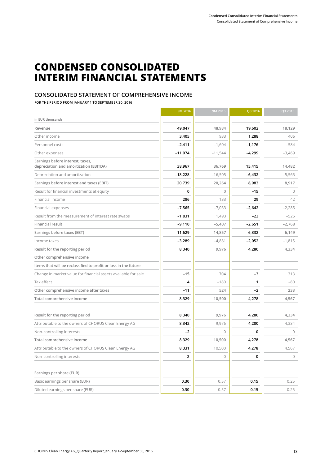# **CONDENSED CONSOLIDATED INTERIM FINANCIAL STATEMENTS**

# **CONSOLIDATED STATEMENT OF COMPREHENSIVE INCOME**

**FOR THE PERIOD FROM JANUARY 1 TO SEPTEMBER 30, 2016**

|                                                                            | 9M 2016   | 9M 2015   | Q3 2016      | Q3 2015   |
|----------------------------------------------------------------------------|-----------|-----------|--------------|-----------|
| in EUR thousands                                                           |           |           |              |           |
| Revenue                                                                    | 49,047    | 48,984    | 19,602       | 18,129    |
| Other income                                                               | 3,405     | 933       | 1,288        | 406       |
| Personnel costs                                                            | $-2,411$  | $-1,604$  | $-1,176$     | $-584$    |
| Other expenses                                                             | $-11,074$ | $-11,544$ | $-4,299$     | $-3,469$  |
| Earnings before interest, taxes,<br>depreciation and amortization (EBITDA) | 38,967    | 36,769    | 15,415       | 14,482    |
| Depreciation and amortization                                              | $-18,228$ | $-16,505$ | $-6,432$     | $-5,565$  |
| Earnings before interest and taxes (EBIT)                                  | 20,739    | 20,264    | 8,983        | 8,917     |
| Result for financial investments at equity                                 | 0         | $\Omega$  | $-15$        | $\Omega$  |
| Financial income                                                           | 286       | 133       | 29           | 42        |
| Financial expenses                                                         | $-7,565$  | $-7,033$  | $-2,642$     | $-2,285$  |
| Result from the measurement of interest rate swaps                         | $-1,831$  | 1,493     | $-23$        | $-525$    |
| Financial result                                                           | $-9,110$  | $-5,407$  | $-2,651$     | $-2,768$  |
| Earnings before taxes (EBT)                                                | 11,629    | 14,857    | 6,332        | 6,149     |
| Income taxes                                                               | $-3,289$  | $-4,881$  | $-2,052$     | $-1,815$  |
| Result for the reporting period                                            | 8,340     | 9,976     | 4,280        | 4,334     |
| Other comprehensive income                                                 |           |           |              |           |
| Items that will be reclassified to profit or loss in the future            |           |           |              |           |
| Change in market value for financial assets available for sale             | $-15$     | 704       | -3           | 313       |
| Tax effect                                                                 | 4         | $-180$    | $\mathbf{1}$ | $-80$     |
| Other comprehensive income after taxes                                     | $-11$     | 524       | -2           | 233       |
| Total comprehensive income                                                 | 8,329     | 10,500    | 4,278        | 4,567     |
|                                                                            |           |           |              |           |
| Result for the reporting period                                            | 8,340     | 9,976     | 4,280        | 4,334     |
| Attributable to the owners of CHORUS Clean Energy AG                       | 8,342     | 9,976     | 4,280        | 4,334     |
| Non-controlling interests                                                  | $-2$      | $\bigcap$ | 0            | $\bigcap$ |
| Total comprehensive income                                                 | 8,329     | 10,500    | 4,278        | 4,567     |
| Attributable to the owners of CHORUS Clean Energy AG                       | 8,331     | 10,500    | 4,278        | 4,567     |
| Non-controlling interests                                                  | $-2$      | $\Omega$  | 0            | $\circ$   |
|                                                                            |           |           |              |           |
| Earnings per share (EUR)                                                   |           |           |              |           |
| Basic earnings per share (EUR)                                             | 0.30      | 0.57      | 0.15         | 0.25      |
| Diluted earnings per share (EUR)                                           | 0.30      | 0.57      | 0.15         | 0.25      |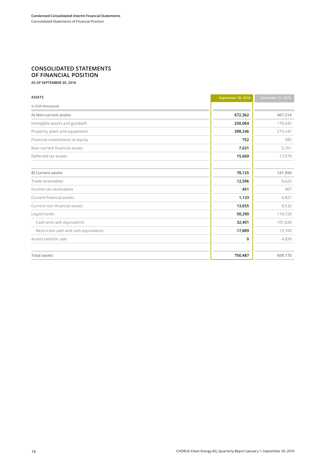# **CONSOLIDATED STATEMENTS OF FINANCIAL POSITION**

**AS OF SEPTEMBER 30, 2016**

| <b>ASSETS</b>                        | September 30, 2016 | December 31, 2015 |
|--------------------------------------|--------------------|-------------------|
| in EUR thousands                     |                    |                   |
| A) Non-current assets                | 672,362            | 467,214           |
| Intangible assets and goodwill       | 250,064            | 170,642           |
| Property, plant and equipment        | 398,246            | 273,147           |
| Financial investments at equity      | 752                | 585               |
| Non-current financial assets         | 7,631              | 5,761             |
| Deferred tax assets                  | 15,669             | 17,079            |
|                                      |                    |                   |
| <b>B)</b> Current assets             | 78,125             | 141,956           |
| Trade receivables                    | 12,596             | 8,623             |
| Income tax receivables               | 451                | 407               |
| Current financial assets             | 1,133              | 4,827             |
| Current non-financial assets         | 13,655             | 8,532             |
| Liquid funds:                        | 50,290             | 114,728           |
| Cash and cash equivalents            | 32,401             | 101,028           |
| Restricted cash and cash equivalents | 17,889             | 13,700            |
| Assets held for sale                 | 0                  | 4,839             |
|                                      |                    |                   |
| <b>Total assets</b>                  | 750,487            | 609,170           |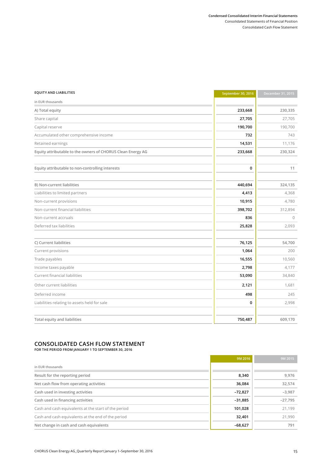#### **Condensed Consolidated Interim Financial Statements** Consolidated Statements of Financial Position Consolidated Cash Flow Statement

| <b>EQUITY AND LIABILITIES</b>                               | September 30, 2016 | December 31, 2015 |
|-------------------------------------------------------------|--------------------|-------------------|
| in EUR thousands                                            |                    |                   |
| A) Total equity                                             | 233,668            | 230,335           |
| Share capital                                               | 27,705             | 27,705            |
| Capital reserve                                             | 190,700            | 190,700           |
| Accumulated other comprehensive income                      | 732                | 743               |
| Retained earnings                                           | 14,531             | 11,176            |
| Equity attributable to the owners of CHORUS Clean Energy AG | 233,668            | 230,324           |
| Equity attributable to non-controlling interests            | 0                  | 11                |
| B) Non-current liabilities                                  | 440,694            | 324,135           |
| Liabilities to limited partners                             | 4,413              | 4,368             |
| Non-current provisions                                      | 10,915             | 4,780             |
| Non-current financial liabilities                           | 398,702            | 312,894           |
| Non-current accruals                                        | 836                | $\circ$           |
| Deferred tax liabilities                                    | 25,828             | 2,093             |
| C) Current liabilities                                      | 76,125             | 54,700            |
| Current provisions                                          | 1,064              | 200               |
| Trade payables                                              | 16,555             | 10,560            |
| Income taxes payable                                        | 2,798              | 4,177             |
| Current financial liabilities                               | 53,090             | 34,840            |
| Other current liabilities                                   | 2,121              | 1,681             |
| Deferred income                                             | 498                | 245               |
| Liabilities relating to assets held for sale                | 0                  | 2,998             |
| <b>Total equity and liabilities</b>                         | 750,487            | 609,170           |

# **CONSOLIDATED CASH FLOW STATEMENT**

**FOR THE PERIOD FROM JANUARY 1 TO SEPTEMBER 30, 2016** 

|                                                      | 9M 2016   | 9M 2015   |
|------------------------------------------------------|-----------|-----------|
| in EUR thousands                                     |           |           |
| Result for the reporting period                      | 8,340     | 9,976     |
| Net cash flow from operating activities              | 36,084    | 32,574    |
| Cash used in investing activities                    | $-72,827$ | $-3,987$  |
| Cash used in financing activities                    | $-31,885$ | $-27,795$ |
| Cash and cash equivalents at the start of the period | 101,028   | 21,199    |
| Cash and cash equivalents at the end of the period   | 32,401    | 21,990    |
| Net change in cash and cash equivalents              | $-68,627$ | 791       |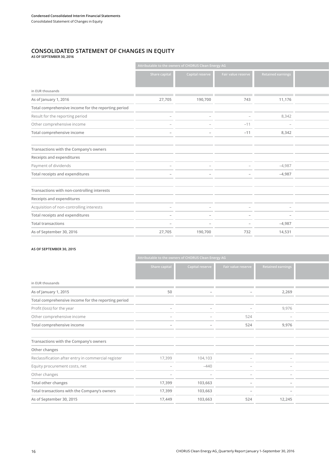#### **CONSOLIDATED STATEMENT OF CHANGES IN EQUITY AS OF SEPTEMBER 30, 2016**

|                                                     |               | Attributable to the owners of CHORUS Clean Energy AG |                    |                          |  |
|-----------------------------------------------------|---------------|------------------------------------------------------|--------------------|--------------------------|--|
|                                                     | Share capital | Capital reserve                                      | Fair value reserve | <b>Retained earnings</b> |  |
| in EUR thousands                                    |               |                                                      |                    |                          |  |
| As of January 1, 2016                               | 27,705        | 190,700                                              | 743                | 11,176                   |  |
| Total comprehensive income for the reporting period |               |                                                      |                    |                          |  |
| Result for the reporting period                     |               |                                                      |                    | 8,342                    |  |
| Other comprehensive income                          |               |                                                      | $-11$              |                          |  |
| Total comprehensive income                          |               | -                                                    | $-11$              | 8,342                    |  |
|                                                     |               |                                                      |                    |                          |  |
| Transactions with the Company's owners              |               |                                                      |                    |                          |  |
| Receipts and expenditures                           |               |                                                      |                    |                          |  |
| Payment of dividends                                |               |                                                      |                    | $-4,987$                 |  |
| Total receipts and expenditures                     |               | -                                                    |                    | $-4,987$                 |  |
|                                                     |               |                                                      |                    |                          |  |
| Transactions with non-controlling interests         |               |                                                      |                    |                          |  |
| Receipts and expenditures                           |               |                                                      |                    |                          |  |
| Acquisition of non-controlling interests            |               |                                                      |                    |                          |  |
| Total receipts and expenditures                     |               |                                                      |                    | $\overline{\phantom{a}}$ |  |
| <b>Total transactions</b>                           |               |                                                      |                    | $-4,987$                 |  |
| As of September 30, 2016                            | 27,705        | 190,700                                              | 732                | 14,531                   |  |

#### **AS OF SEPTEMBER 30, 2015**

|                                                     |                          | Attributable to the owners of CHORUS Clean Energy AG |                    |                          |
|-----------------------------------------------------|--------------------------|------------------------------------------------------|--------------------|--------------------------|
|                                                     | Share capita             | <b>Capital reserve</b>                               | Fair value reserve | <b>Retained earnings</b> |
| in EUR thousands                                    |                          |                                                      |                    |                          |
| As of January 1, 2015                               | 50                       |                                                      |                    | 2,269                    |
| Total comprehensive income for the reporting period |                          |                                                      |                    |                          |
| Profit (loss) for the year                          |                          |                                                      |                    | 9,976                    |
| Other comprehensive income                          |                          |                                                      | 524                |                          |
| Total comprehensive income                          |                          |                                                      | 524                | 9,976                    |
|                                                     |                          |                                                      |                    |                          |
| Transactions with the Company's owners              |                          |                                                      |                    |                          |
| Other changes                                       |                          |                                                      |                    |                          |
| Reclassification after entry in commercial register | 17,399                   | 104,103                                              |                    |                          |
| Equity procurement costs, net                       | $\overline{\phantom{a}}$ | $-440$                                               |                    |                          |
| Other changes                                       |                          |                                                      |                    | $\overline{\phantom{a}}$ |
| Total other changes                                 | 17,399                   | 103,663                                              |                    | $\overline{\phantom{a}}$ |
| Total transactions with the Company's owners        | 17,399                   | 103,663                                              |                    |                          |
| As of September 30, 2015                            | 17,449                   | 103,663                                              | 524                | 12,245                   |
|                                                     |                          |                                                      |                    |                          |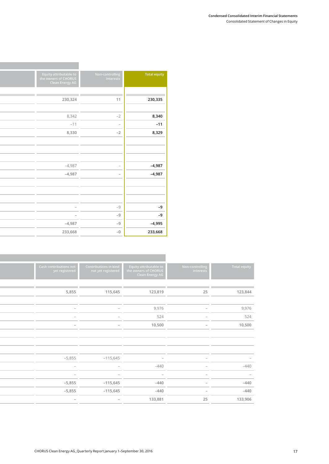#### **Condensed Consolidated Interim Financial Statements** Consolidated Statement of Changes in Equity

| Total equity | Non-controlling<br>interests | Equity attributable to<br>the owners of CHORUS<br>Clean Energy AG |  |  |
|--------------|------------------------------|-------------------------------------------------------------------|--|--|
|              |                              |                                                                   |  |  |
| 230,335      | 11                           | 230,324                                                           |  |  |
|              |                              |                                                                   |  |  |
| 8,340        | $-2$                         | 8,342                                                             |  |  |
| $-11$        | $\overline{\phantom{a}}$     | $-11$                                                             |  |  |
| 8,329        | $-2$                         | 8,330                                                             |  |  |
|              |                              |                                                                   |  |  |
|              |                              |                                                                   |  |  |
|              |                              |                                                                   |  |  |
| $-4,987$     | $\overline{\phantom{a}}$     | $-4,987$                                                          |  |  |
| $-4,987$     | $\overline{\phantom{a}}$     | $-4,987$                                                          |  |  |
|              |                              |                                                                   |  |  |
|              |                              |                                                                   |  |  |
|              |                              |                                                                   |  |  |
| $-9$         | $-9$                         |                                                                   |  |  |
| $-9$         | $-9$                         | $\sim$                                                            |  |  |
| $-4,995$     | $-9$                         | $-4,987$                                                          |  |  |
| 233,668      | $-0$                         | 233,668                                                           |  |  |
|              |                              |                                                                   |  |  |

and the state of the state of the state

| <b>Total equity</b>      | Non-controlling<br>interests | Equity attributable to<br>the owners of CHORUS<br><b>Clean Energy AG</b> | Contributions in kind<br>not yet registered | Cash contributions not<br>yet registered |
|--------------------------|------------------------------|--------------------------------------------------------------------------|---------------------------------------------|------------------------------------------|
|                          |                              |                                                                          |                                             |                                          |
| 123,844                  | 25                           | 123,819                                                                  | 115,645                                     | 5,855                                    |
|                          |                              |                                                                          |                                             |                                          |
| 9,976                    | $\overline{\phantom{a}}$     | 9,976                                                                    | $\sim$                                      |                                          |
| 524                      | $\overline{\phantom{a}}$     | 524                                                                      | $\sim$                                      |                                          |
| 10,500                   | $\sim$                       | 10,500                                                                   | $\sim$                                      | $\sim$                                   |
|                          |                              |                                                                          |                                             |                                          |
|                          |                              |                                                                          |                                             |                                          |
|                          |                              |                                                                          |                                             |                                          |
| $\overline{\phantom{a}}$ |                              |                                                                          | $-115,645$                                  | $-5,855$                                 |
| $-440$                   | $\overline{\phantom{a}}$     | $-440$                                                                   | $\overline{\phantom{a}}$                    | $\overline{\phantom{0}}$                 |
| $-$                      | $\overline{\phantom{a}}$     | $\overline{\phantom{a}}$                                                 |                                             | $-$                                      |
| $-440$                   | $\sim$                       | $-440$                                                                   | $-115,645$                                  | $-5,855$                                 |
| $-440$                   | $\sim$                       | $-440$                                                                   | $-115,645$                                  | $-5,855$                                 |
| 133,906                  | 25                           | 133,881                                                                  | $-$                                         | $-$                                      |
|                          |                              |                                                                          |                                             |                                          |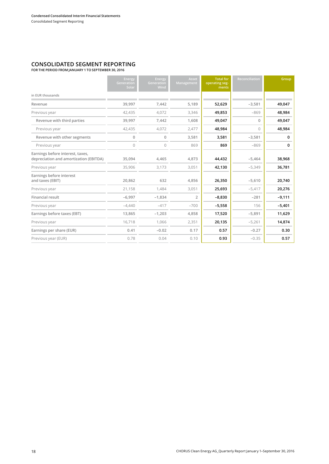# **CONSOLIDATED SEGMENT REPORTING**

**FOR THE PERIOD FROM JANUARY 1 TO SEPTEMBER 30, 2016**

|                                                                            | Energy<br>Generation<br>Solar | Energy<br>Generation<br>Wind | Asset<br>Management | <b>Total for</b><br>operating seg-<br>ments | Reconciliation | Group    |
|----------------------------------------------------------------------------|-------------------------------|------------------------------|---------------------|---------------------------------------------|----------------|----------|
| in EUR thousands                                                           |                               |                              |                     |                                             |                |          |
| Revenue                                                                    | 39,997                        | 7,442                        | 5,189               | 52,629                                      | $-3,581$       | 49,047   |
| Previous year                                                              | 42,435                        | 4,072                        | 3,346               | 49,853                                      | $-869$         | 48,984   |
| Revenue with third parties                                                 | 39,997                        | 7,442                        | 1,608               | 49,047                                      | 0              | 49,047   |
| Previous year                                                              | 42,435                        | 4,072                        | 2,477               | 48,984                                      | $\Omega$       | 48,984   |
| Revenue with other segments                                                | 0                             | $\mathbb O$                  | 3,581               | 3,581                                       | $-3,581$       | 0        |
| Previous year                                                              | $\Omega$                      | $\circ$                      | 869                 | 869                                         | $-869$         | 0        |
| Earnings before interest, taxes,<br>depreciation and amortization (EBITDA) | 35,094                        | 4,465                        | 4,873               | 44,432                                      | $-5,464$       | 38,968   |
| Previous year                                                              | 35,906                        | 3,173                        | 3,051               | 42,130                                      | $-5,349$       | 36,781   |
| Earnings before interest<br>and taxes (EBIT)                               | 20,862                        | 632                          | 4,856               | 26,350                                      | $-5,610$       | 20,740   |
| Previous year                                                              | 21,158                        | 1,484                        | 3,051               | 25,693                                      | $-5,417$       | 20,276   |
| Financial result                                                           | $-6,997$                      | $-1,834$                     | $\overline{2}$      | $-8,830$                                    | $-281$         | $-9,111$ |
| Previous year                                                              | $-4,440$                      | $-417$                       | $-700$              | $-5,558$                                    | 156            | $-5,401$ |
| Earnings before taxes (EBT)                                                | 13,865                        | $-1,203$                     | 4,858               | 17,520                                      | $-5,891$       | 11,629   |
| Previous year                                                              | 16,718                        | 1,066                        | 2,351               | 20,135                                      | $-5,261$       | 14,874   |
| Earnings per share (EUR)                                                   | 0.41                          | $-0.02$                      | 0.17                | 0.57                                        | $-0.27$        | 0.30     |
| Previous year (EUR)                                                        | 0.78                          | 0.04                         | 0.10                | 0.93                                        | $-0.35$        | 0.57     |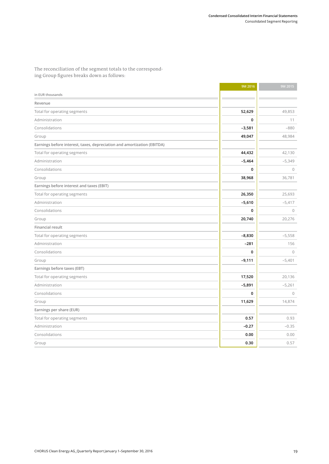The reconciliation of the segment totals to the corresponding Group figures breaks down as follows:

|                                                                         | 9M 2016  | 9M 2015  |
|-------------------------------------------------------------------------|----------|----------|
| in EUR thousands                                                        |          |          |
| Revenue                                                                 |          |          |
| Total for operating segments                                            | 52,629   | 49,853   |
| Administration                                                          | 0        | 11       |
| Consolidations                                                          | $-3,581$ | $-880$   |
| Group                                                                   | 49,047   | 48,984   |
| Earnings before interest, taxes, depreciation and amortization (EBITDA) |          |          |
| Total for operating segments                                            | 44,432   | 42,130   |
| Administration                                                          | $-5,464$ | $-5,349$ |
| Consolidations                                                          | 0        | $\circ$  |
| Group                                                                   | 38,968   | 36,781   |
| Earnings before interest and taxes (EBIT)                               |          |          |
| Total for operating segments                                            | 26,350   | 25,693   |
| Administration                                                          | $-5,610$ | $-5,417$ |
| Consolidations                                                          | 0        | $\circ$  |
| Group                                                                   | 20,740   | 20,276   |
| <b>Financial result</b>                                                 |          |          |
| Total for operating segments                                            | $-8,830$ | $-5,558$ |
| Administration                                                          | $-281$   | 156      |
| Consolidations                                                          | 0        | $\circ$  |
| Group                                                                   | $-9,111$ | $-5,401$ |
| Earnings before taxes (EBT)                                             |          |          |
| Total for operating segments                                            | 17,520   | 20,136   |
| Administration                                                          | $-5,891$ | $-5,261$ |
| Consolidations                                                          | 0        | $\circ$  |
| Group                                                                   | 11,629   | 14,874   |
| Earnings per share (EUR)                                                |          |          |
| Total for operating segments                                            | 0.57     | 0.93     |
| Administration                                                          | $-0.27$  | $-0.35$  |
| Consolidations                                                          | 0.00     | 0.00     |
| Group                                                                   | 0.30     | 0.57     |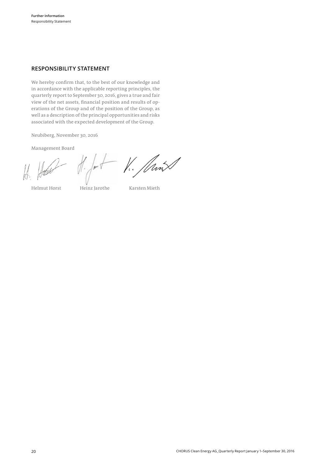#### **RESPONSIBILITY STATEMENT**

We hereby confirm that, to the best of our knowledge and in accordance with the applicable reporting principles, the quarterly report to September 30, 2016, gives a true and fair view of the net assets, financial position and results of operations of the Group and of the position of the Group, as well as a description of the principal opportunities and risks associated with the expected development of the Group.

Neubiberg, November 30, 2016

Management Board

V. Jan

Helmut Horst Heinz Jarothe Karsten Mieth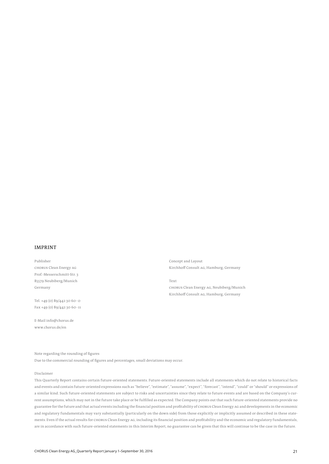#### IMPRINT

Publisher

CHORUS Clean Energy AG Prof.-Messerschmitt-Str. 3 85579 Neubiberg/Munich Germany

Tel. +49 (0) 89/442 30 60-0 Fax +49 (0) 89/442 30 60-11

E-Mail info@chorus.de www.chorus.de/en

Concept and Layout Kirchhoff Consult AG, Hamburg, Germany

Text CHORUS Clean Energy AG, Neubiberg/Munich Kirchhoff Consult AG, Hamburg, Germany

Note regarding the rounding of figures

Due to the commercial rounding of figures and percentages, small deviations may occur.

#### Disclaimer

This Quarterly Report contains certain future-oriented statements. Future-oriented statements include all statements which do not relate to historical facts and events and contain future-oriented expressions such as "believe", "estimate", "assume", "expect", "forecast", "intend", "could" or "should" or expressions of a similar kind. Such future-oriented statements are subject to risks and uncertainties since they relate to future events and are based on the Company's current assumptions, which may not in the future take place or be fulfilled as expected. The Company points out that such future-oriented statements provide no guarantee for the future and that actual events including the financial position and profitability of CHORUS Clean Energy AG and developments in the economic and regulatory fundamentals may vary substantially (particularly on the down side) from those explicitly or implicitly assumed or described in these statements. Even if the actual results for CHORUS Clean Energy AG, including its financial position and profitability and the economic and regulatory fundamentals, are in accordance with such future-oriented statements in this Interim Report, no guarantee can be given that this will continue to be the case in the future.